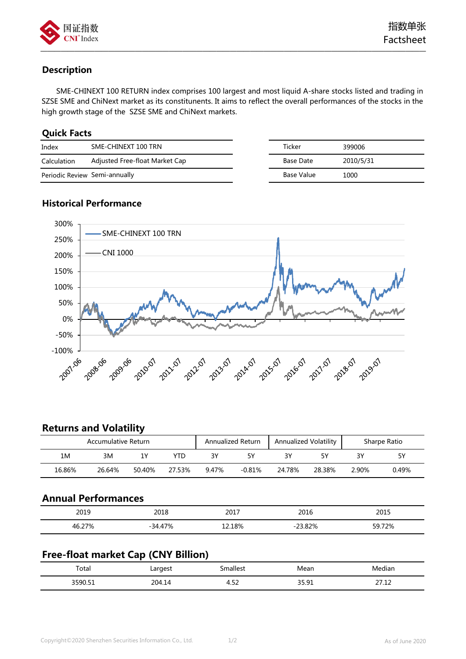

# **Description**

SME-CHINEXT 100 RETURN index comprises 100 largest and most liquid A-share stocks listed and trading in SZSE SME and ChiNext market as its constitunents. It aims to reflect the overall performances of the stocks in the high growth stage of the SZSE SME and ChiNext markets.

—————————————————————————————————————————————————————————

## **Quick Facts**

| Index                         | SME-CHINEXT 100 TRN            |  | Ticker     | 399006    |
|-------------------------------|--------------------------------|--|------------|-----------|
| Calculation                   | Adjusted Free-float Market Cap |  | Base Date  | 2010/5/31 |
| Periodic Review Semi-annually |                                |  | Base Value | 1000      |

# **Historical Performance**



# **Returns and Volatility**

| Accumulative Return |        |        | Annualized Volatility<br><b>Annualized Return</b> |       |          | Sharpe Ratio |        |       |       |
|---------------------|--------|--------|---------------------------------------------------|-------|----------|--------------|--------|-------|-------|
| 1M                  | 3M     | 1۷     | YTD                                               |       |          | ٦Y           | ςν     | 3V    | 5Υ    |
| 16.86%              | 26.64% | 50.40% | 27.53%                                            | 9.47% | $-0.81%$ | 24.78%       | 28.38% | 2.90% | 0.49% |

### **Annual Performances**

| 2019                  | 2018      | 2017   | 2016 | 2015         |
|-----------------------|-----------|--------|------|--------------|
| <b>70/</b><br>46<br>. | $-34.47%$ | 12.18% | 82%  | 72%<br>∶ ∩ ב |

# **Free-float market Cap (CNY Billion)**

| Total   | Largest                                                       | .mallest                            | Mean                  | $\cdot$ .<br>Mediar                                                  |
|---------|---------------------------------------------------------------|-------------------------------------|-----------------------|----------------------------------------------------------------------|
| רם המפר | 204<br>$\mathbf{I}$<br>.14<br>the contract of the contract of | $ \sim$<br>$\overline{\phantom{a}}$ | <b>25.01</b><br>----- | n 71 1<br>$-1$<br><u>. , </u><br>the contract of the contract of the |